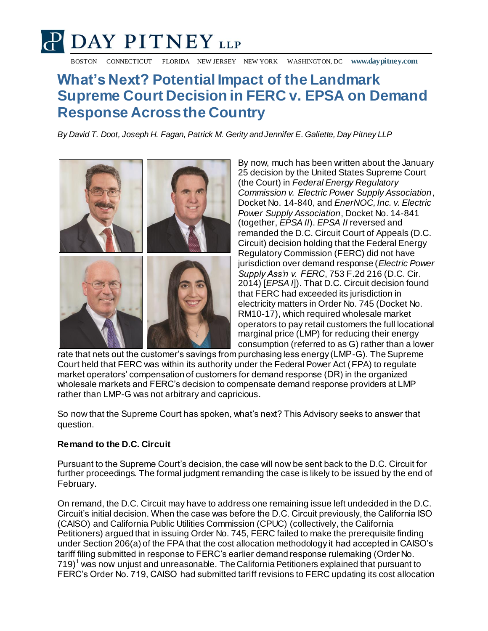# **P DAY PITNEY LLP**

BOSTON CONNECTICUT FLORIDA NEW JERSEY NEW YORK WASHINGTON, DC **www.daypitney.com**

## **What's Next? Potential Impact of the Landmark Supreme Court Decision in FERC v. EPSA on Demand Response Across the Country**

*By David T. Doot, Joseph H. Fagan, Patrick M. Gerity and Jennifer E. Galiette, Day Pitney LLP*



By now, much has been written about the January 25 decision by the United States Supreme Court (the Court) in *Federal Energy Regulatory Commission v. Electric Power Supply Association*, Docket No. 14-840, and *EnerNOC, Inc. v. Electric Power Supply Association*, Docket No. 14-841 (together, *EPSA II*). *EPSA II* reversed and remanded the D.C. Circuit Court of Appeals (D.C. Circuit) decision holding that the Federal Energy Regulatory Commission (FERC) did not have jurisdiction over demand response (*Electric Power Supply Ass'n v. FERC*, 753 F.2d 216 (D.C. Cir. 2014) [*EPSA I*]). That D.C. Circuit decision found that FERC had exceeded its jurisdiction in electricity matters in Order No. 745 (Docket No. RM10-17), which required wholesale market operators to pay retail customers the full locational marginal price (LMP) for reducing their energy consumption (referred to as G) rather than a lower

rate that nets out the customer's savings from purchasing less energy (LMP-G). The Supreme Court held that FERC was within its authority under the Federal Power Act (FPA) to regulate market operators' compensation of customers for demand response (DR) in the organized wholesale markets and FERC's decision to compensate demand response providers at LMP rather than LMP-G was not arbitrary and capricious.

So now that the Supreme Court has spoken, what's next? This Advisory seeks to answer that question.

### **Remand to the D.C. Circuit**

Pursuant to the Supreme Court's decision, the case will now be sent back to the D.C. Circuit for further proceedings. The formal judgment remanding the case is likely to be issued by the end of February.

On remand, the D.C. Circuit may have to address one remaining issue left undecided in the D.C. Circuit's initial decision. When the case was before the D.C. Circuit previously, the California ISO (CAISO) and California Public Utilities Commission (CPUC) (collectively, the California Petitioners) argued that in issuing Order No. 745, FERC failed to make the prerequisite finding under Section 206(a) of the FPA that the cost allocation methodology it had accepted in CAISO's tariff filing submitted in response to FERC's earlier demand response rulemaking (Order No.  $719$ <sup>1</sup> was now unjust and unreasonable. The California Petitioners explained that pursuant to FERC's Order No. 719, CAISO had submitted tariff revisions to FERC updating its cost allocation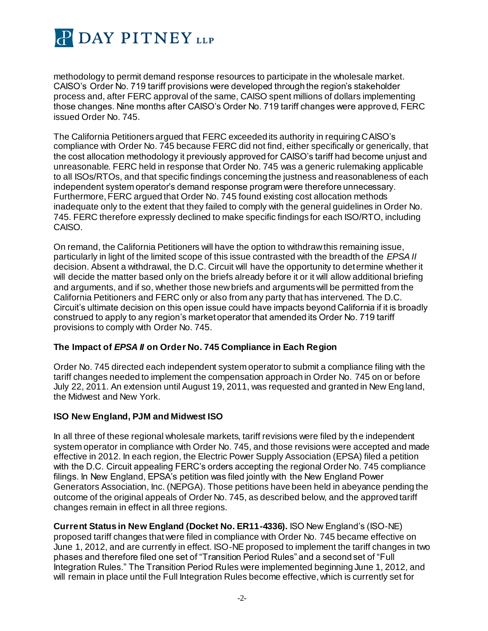

methodology to permit demand response resources to participate in the wholesale market. CAISO's Order No. 719 tariff provisions were developed through the region's stakeholder process and, after FERC approval of the same, CAISO spent millions of dollars implementing those changes. Nine months after CAISO's Order No. 719 tariff changes were approved, FERC issued Order No. 745.

The California Petitioners argued that FERC exceeded its authority in requiring CAISO's compliance with Order No. 745 because FERC did not find, either specifically or generically, that the cost allocation methodology it previously approved for CAISO's tariff had become unjust and unreasonable. FERC held in response that Order No. 745 was a generic rulemaking applicable to all ISOs/RTOs, and that specific findings concerning the justness and reasonableness of each independent system operator's demand response program were therefore unnecessary. Furthermore, FERC argued that Order No. 745 found existing cost allocation methods inadequate only to the extent that they failed to comply with the general guidelines in Order No. 745. FERC therefore expressly declined to make specific findings for each ISO/RTO, including CAISO.

On remand, the California Petitioners will have the option to withdraw this remaining issue, particularly in light of the limited scope of this issue contrasted with the breadth of the *EPSA II* decision. Absent a withdrawal, the D.C. Circuit will have the opportunity to determine whether it will decide the matter based only on the briefs already before it or it will allow additional briefing and arguments, and if so, whether those new briefs and arguments will be permitted from the California Petitioners and FERC only or also from any party that has intervened. The D.C. Circuit's ultimate decision on this open issue could have impacts beyond California if it is broadly construed to apply to any region's market operator that amended its Order No. 719 tariff provisions to comply with Order No. 745.

#### **The Impact of** *EPSA II* **on Order No. 745 Compliance in Each Region**

Order No. 745 directed each independent system operator to submit a compliance filing with the tariff changes needed to implement the compensation approach in Order No. 745 on or before July 22, 2011. An extension until August 19, 2011, was requested and granted in New England, the Midwest and New York.

#### **ISO New England, PJM and Midwest ISO**

In all three of these regional wholesale markets, tariff revisions were filed by the independent system operator in compliance with Order No. 745, and those revisions were accepted and made effective in 2012. In each region, the Electric Power Supply Association (EPSA) filed a petition with the D.C. Circuit appealing FERC's orders accepting the regional Order No. 745 compliance filings. In New England, EPSA's petition was filed jointly with the New England Power Generators Association, Inc. (NEPGA). Those petitions have been held in abeyance pending the outcome of the original appeals of Order No. 745, as described below, and the approved tariff changes remain in effect in all three regions.

**Current Status in New England (Docket No. ER11-4336).** ISO New England's (ISO-NE) proposed tariff changes that were filed in compliance with Order No. 745 became effective on June 1, 2012, and are currently in effect. ISO-NE proposed to implement the tariff changes in two phases and therefore filed one set of "Transition Period Rules" and a second set of "Full Integration Rules." The Transition Period Rules were implemented beginning June 1, 2012, and will remain in place until the Full Integration Rules become effective, which is currently set for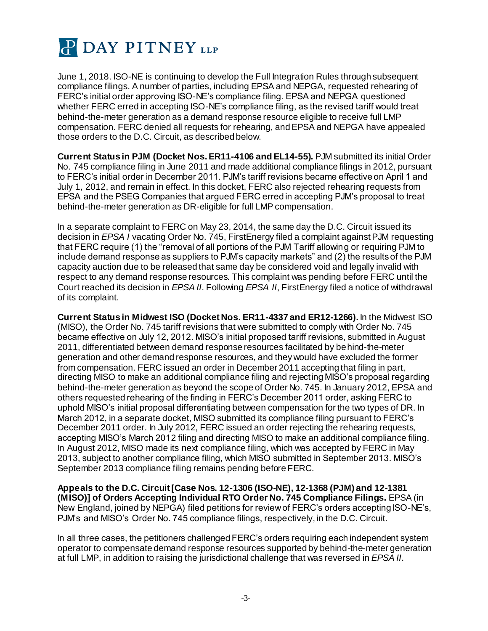

June 1, 2018. ISO-NE is continuing to develop the Full Integration Rules through subsequent compliance filings. A number of parties, including EPSA and NEPGA, requested rehearing of FERC's initial order approving ISO-NE's compliance filing. EPSA and NEPGA questioned whether FERC erred in accepting ISO-NE's compliance filing, as the revised tariff would treat behind-the-meter generation as a demand response resource eligible to receive full LMP compensation. FERC denied all requests for rehearing, and EPSA and NEPGA have appealed those orders to the D.C. Circuit, as described below.

**Current Status in PJM (Docket Nos. ER11-4106 and EL14-55).** PJM submitted its initial Order No. 745 compliance filing in June 2011 and made additional compliance filings in 2012, pursuant to FERC's initial order in December 2011. PJM's tariff revisions became effective on April 1 and July 1, 2012, and remain in effect. In this docket, FERC also rejected rehearing requests from EPSA and the PSEG Companies that argued FERC erred in accepting PJM's proposal to treat behind-the-meter generation as DR-eligible for full LMP compensation.

In a separate complaint to FERC on May 23, 2014, the same day the D.C. Circuit issued its decision in *EPSA I* vacating Order No. 745, FirstEnergy filed a complaint against PJM requesting that FERC require (1) the "removal of all portions of the PJM Tariff allowing or requiring PJM to include demand response as suppliers to PJM's capacity markets" and (2) the results of the PJM capacity auction due to be released that same day be considered void and legally invalid with respect to any demand response resources. This complaint was pending before FERC until the Court reached its decision in *EPSA II*. Following *EPSA II*, FirstEnergy filed a notice of withdrawal of its complaint.

**Current Status in Midwest ISO (Docket Nos. ER11-4337 and ER12-1266).** In the Midwest ISO (MISO), the Order No. 745 tariff revisions that were submitted to comply with Order No. 745 became effective on July 12, 2012. MISO's initial proposed tariff revisions, submitted in August 2011, differentiated between demand response resources facilitated by behind-the-meter generation and other demand response resources, and they would have excluded the former from compensation. FERC issued an order in December 2011 accepting that filing in part, directing MISO to make an additional compliance filing and rejecting MISO's proposal regarding behind-the-meter generation as beyond the scope of Order No. 745. In January 2012, EPSA and others requested rehearing of the finding in FERC's December 2011 order, asking FERC to uphold MISO's initial proposal differentiating between compensation for the two types of DR. In March 2012, in a separate docket, MISO submitted its compliance filing pursuant to FERC's December 2011 order. In July 2012, FERC issued an order rejecting the rehearing requests, accepting MISO's March 2012 filing and directing MISO to make an additional compliance filing. In August 2012, MISO made its next compliance filing, which was accepted by FERC in May 2013, subject to another compliance filing, which MISO submitted in September 2013. MISO's September 2013 compliance filing remains pending before FERC.

**Appeals to the D.C. Circuit [Case Nos. 12-1306 (ISO-NE), 12-1368 (PJM) and 12-1381 (MISO)] of Orders Accepting Individual RTO Order No. 745 Compliance Filings.** EPSA (in New England, joined by NEPGA) filed petitions for review of FERC's orders accepting ISO-NE's, PJM's and MISO's Order No. 745 compliance filings, respectively, in the D.C. Circuit.

In all three cases, the petitioners challenged FERC's orders requiring each independent system operator to compensate demand response resources supported by behind-the-meter generation at full LMP, in addition to raising the jurisdictional challenge that was reversed in *EPSA II*.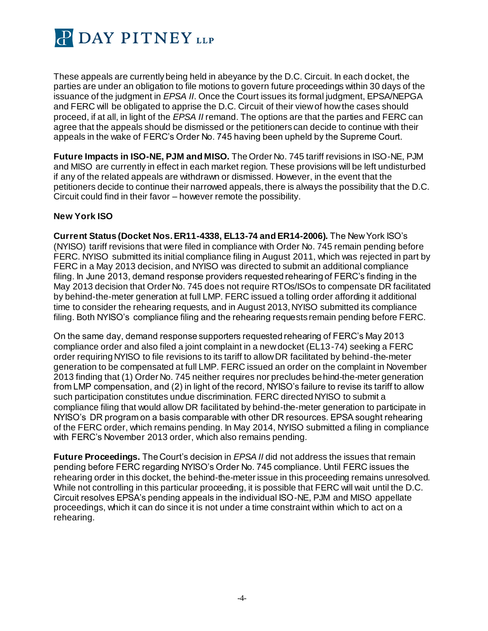

These appeals are currently being held in abeyance by the D.C. Circuit. In each docket, the parties are under an obligation to file motions to govern future proceedings within 30 days of the issuance of the judgment in *EPSA II*. Once the Court issues its formal judgment, EPSA/NEPGA and FERC will be obligated to apprise the D.C. Circuit of their view of how the cases should proceed, if at all, in light of the *EPSA II* remand. The options are that the parties and FERC can agree that the appeals should be dismissed or the petitioners can decide to continue with their appeals in the wake of FERC's Order No. 745 having been upheld by the Supreme Court.

**Future Impacts in ISO-NE, PJM and MISO.** The Order No. 745 tariff revisions in ISO-NE, PJM and MISO are currently in effect in each market region. These provisions will be left undisturbed if any of the related appeals are withdrawn or dismissed. However, in the event that the petitioners decide to continue their narrowed appeals, there is always the possibility that the D.C. Circuit could find in their favor – however remote the possibility.

#### **New York ISO**

**Current Status (Docket Nos. ER11-4338, EL13-74 and ER14-2006).** The New York ISO's (NYISO) tariff revisions that were filed in compliance with Order No. 745 remain pending before FERC. NYISO submitted its initial compliance filing in August 2011, which was rejected in part by FERC in a May 2013 decision, and NYISO was directed to submit an additional compliance filing. In June 2013, demand response providers requested rehearing of FERC's finding in the May 2013 decision that Order No. 745 does not require RTOs/ISOs to compensate DR facilitated by behind-the-meter generation at full LMP. FERC issued a tolling order affording it additional time to consider the rehearing requests, and in August 2013, NYISO submitted its compliance filing. Both NYISO's compliance filing and the rehearing requests remain pending before FERC.

On the same day, demand response supporters requested rehearing of FERC's May 2013 compliance order and also filed a joint complaint in a new docket (EL13-74) seeking a FERC order requiring NYISO to file revisions to its tariff to allow DR facilitated by behind-the-meter generation to be compensated at full LMP. FERC issued an order on the complaint in November 2013 finding that (1) Order No. 745 neither requires nor precludes behind-the-meter generation from LMP compensation, and (2) in light of the record, NYISO's failure to revise its tariff to allow such participation constitutes undue discrimination. FERC directed NYISO to submit a compliance filing that would allow DR facilitated by behind-the-meter generation to participate in NYISO's DR program on a basis comparable with other DR resources. EPSA sought rehearing of the FERC order, which remains pending. In May 2014, NYISO submitted a filing in compliance with FERC's November 2013 order, which also remains pending.

**Future Proceedings.** The Court's decision in *EPSA II* did not address the issues that remain pending before FERC regarding NYISO's Order No. 745 compliance. Until FERC issues the rehearing order in this docket, the behind-the-meter issue in this proceeding remains unresolved. While not controlling in this particular proceeding, it is possible that FERC will wait until the D.C. Circuit resolves EPSA's pending appeals in the individual ISO-NE, PJM and MISO appellate proceedings, which it can do since it is not under a time constraint within which to act on a rehearing.